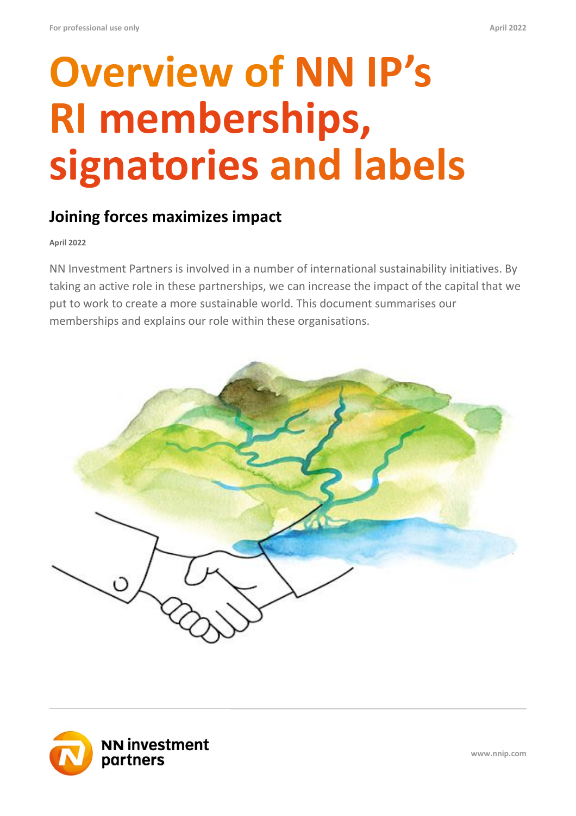# **Overview of NN IP's RI memberships, signatories and labels**

### **Joining forces maximizes impact**

**April 2022**

NN Investment Partners is involved in a number of international sustainability initiatives. By taking an active role in these partnerships, we can increase the impact of the capital that we put to work to create a more sustainable world. This document summarises our memberships and explains our role within these organisations.





**www.nnip.com**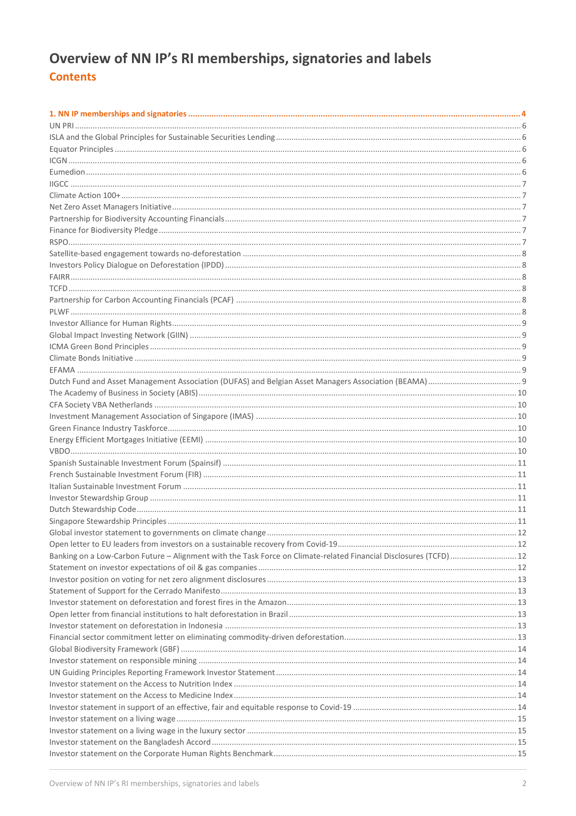### Overview of NN IP's RI memberships, signatories and labels **Contents**

| Banking on a Low-Carbon Future - Alignment with the Task Force on Climate-related Financial Disclosures (TCFD) 12 |  |
|-------------------------------------------------------------------------------------------------------------------|--|
|                                                                                                                   |  |
|                                                                                                                   |  |
|                                                                                                                   |  |
|                                                                                                                   |  |
|                                                                                                                   |  |
|                                                                                                                   |  |
|                                                                                                                   |  |
|                                                                                                                   |  |
|                                                                                                                   |  |
|                                                                                                                   |  |
|                                                                                                                   |  |
|                                                                                                                   |  |
|                                                                                                                   |  |
|                                                                                                                   |  |
|                                                                                                                   |  |
|                                                                                                                   |  |
|                                                                                                                   |  |
|                                                                                                                   |  |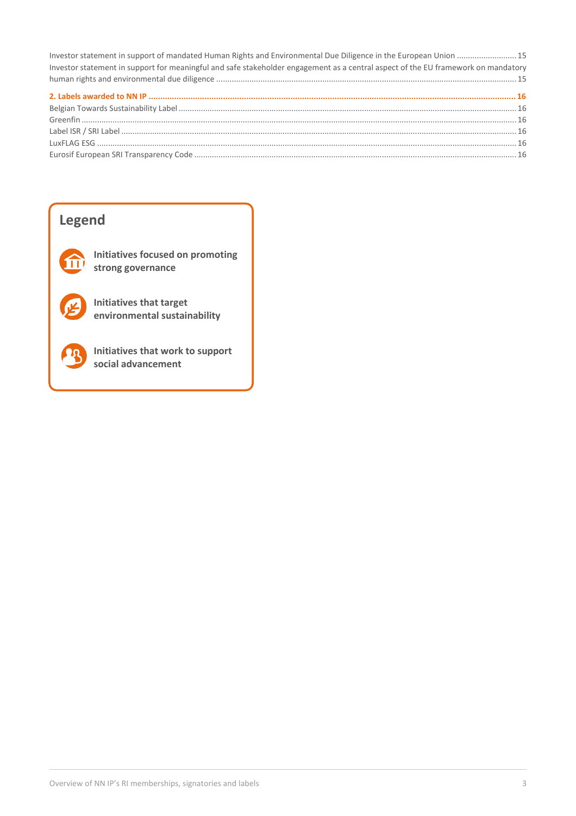| Investor statement in support of mandated Human Rights and Environmental Due Diligence in the European Union  15                  |  |
|-----------------------------------------------------------------------------------------------------------------------------------|--|
| Investor statement in support for meaningful and safe stakeholder engagement as a central aspect of the EU framework on mandatory |  |
|                                                                                                                                   |  |
|                                                                                                                                   |  |
|                                                                                                                                   |  |
|                                                                                                                                   |  |
|                                                                                                                                   |  |
|                                                                                                                                   |  |
|                                                                                                                                   |  |

### **Legend**

**Initiatives focused on promoting**  m **strong governance**

> **Initiatives that target environmental sustainability**



**Initiatives that work to support social advancement**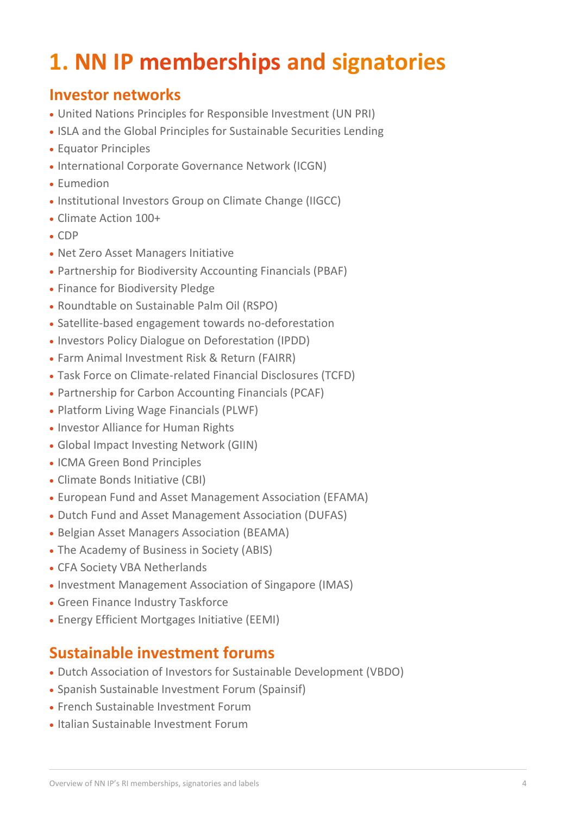# <span id="page-3-0"></span>**1. NN IP memberships and signatories**

### **Investor networks**

- United Nations Principles for Responsible Investment (UN PRI)
- ISLA and the Global Principles for Sustainable Securities Lending
- Equator Principles
- International Corporate Governance Network (ICGN)
- Eumedion
- Institutional Investors Group on Climate Change (IIGCC)
- Climate Action 100+
- CDP
- Net Zero Asset Managers Initiative
- Partnership for Biodiversity Accounting Financials (PBAF)
- Finance for Biodiversity Pledge
- Roundtable on Sustainable Palm Oil (RSPO)
- Satellite-based engagement towards no-deforestation
- Investors Policy Dialogue on Deforestation (IPDD)
- Farm Animal Investment Risk & Return (FAIRR)
- Task Force on Climate-related Financial Disclosures (TCFD)
- Partnership for Carbon Accounting Financials (PCAF)
- Platform Living Wage Financials (PLWF)
- Investor Alliance for Human Rights
- Global Impact Investing Network (GIIN)
- ICMA Green Bond Principles
- Climate Bonds Initiative (CBI)
- European Fund and Asset Management Association (EFAMA)
- Dutch Fund and Asset Management Association (DUFAS)
- Belgian Asset Managers Association (BEAMA)
- The Academy of Business in Society (ABIS)
- CFA Society VBA Netherlands
- Investment Management Association of Singapore (IMAS)
- Green Finance Industry Taskforce
- Energy Efficient Mortgages Initiative (EEMI)

### **Sustainable investment forums**

- Dutch Association of Investors for Sustainable Development (VBDO)
- Spanish Sustainable Investment Forum (Spainsif)
- French Sustainable Investment Forum
- Italian Sustainable Investment Forum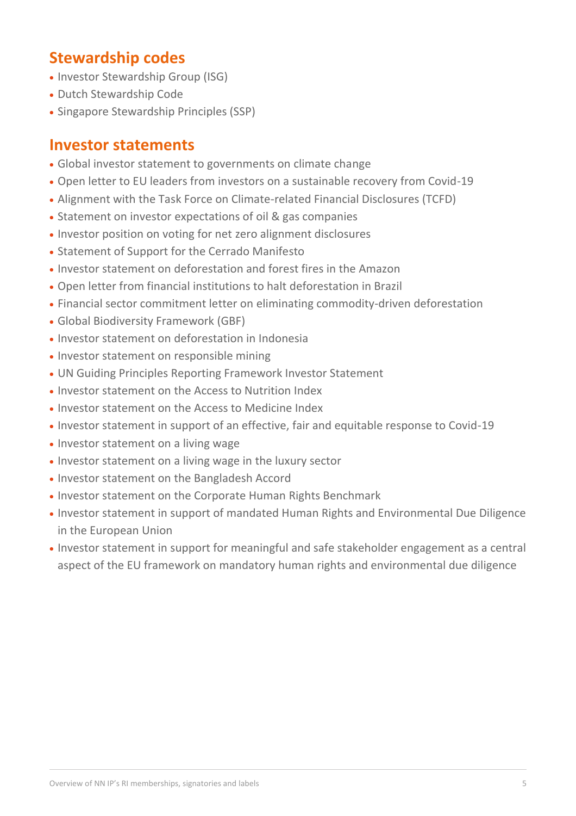### **Stewardship codes**

- Investor Stewardship Group (ISG)
- Dutch Stewardship Code
- Singapore Stewardship Principles (SSP)

### **Investor statements**

- Global investor statement to governments on climate change
- Open letter to EU leaders from investors on a sustainable recovery from Covid-19
- Alignment with the Task Force on Climate-related Financial Disclosures (TCFD)
- Statement on investor expectations of oil & gas companies
- Investor position on voting for net zero alignment disclosures
- Statement of Support for the Cerrado Manifesto
- Investor statement on deforestation and forest fires in the Amazon
- Open letter from financial institutions to halt deforestation in Brazil
- Financial sector commitment letter on eliminating commodity-driven deforestation
- Global Biodiversity Framework (GBF)
- Investor statement on deforestation in Indonesia
- Investor statement on responsible mining
- UN Guiding Principles Reporting Framework Investor Statement
- Investor statement on the Access to Nutrition Index
- Investor statement on the Access to Medicine Index
- Investor statement in support of an effective, fair and equitable response to Covid-19
- Investor statement on a living wage
- Investor statement on a living wage in the luxury sector
- Investor statement on the Bangladesh Accord
- Investor statement on the Corporate Human Rights Benchmark
- Investor statement in support of mandated Human Rights and Environmental Due Diligence in the European Union
- Investor statement in support for meaningful and safe stakeholder engagement as a central aspect of the EU framework on mandatory human rights and environmental due diligence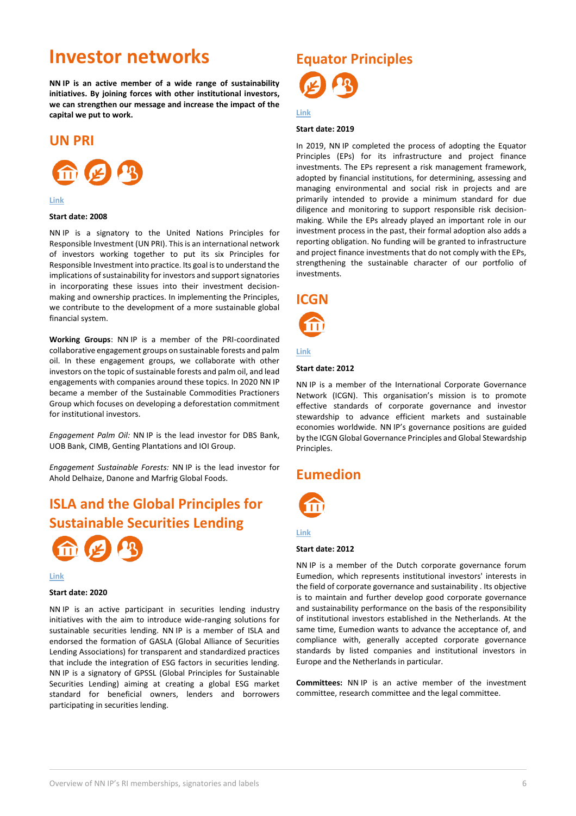### **Investor networks**

**NN IP is an active member of a wide range of sustainability initiatives. By joining forces with other institutional investors, we can strengthen our message and increase the impact of the capital we put to work.**

### <span id="page-5-0"></span>**UN PRI**



#### **[Link](https://www.unpri.org/)**

#### **Start date: 2008**

NN IP is a signatory to the United Nations Principles for Responsible Investment (UN PRI). This is an international network of investors working together to put its six Principles for Responsible Investment into practice. Its goal is to understand the implications of sustainability for investors and support signatories in incorporating these issues into their investment decisionmaking and ownership practices. In implementing the Principles, we contribute to the development of a more sustainable global financial system.

**Working Groups**: NN IP is a member of the PRI-coordinated collaborative engagement groups on sustainable forests and palm oil. In these engagement groups, we collaborate with other investors on the topic of sustainable forests and palm oil, and lead engagements with companies around these topics. In 2020 NN IP became a member of the Sustainable Commodities Practioners Group which focuses on developing a deforestation commitment for institutional investors.

*Engagement Palm Oil:* NN IP is the lead investor for DBS Bank, UOB Bank, CIMB, Genting Plantations and IOI Group.

*Engagement Sustainable Forests:* NN IP is the lead investor for Ahold Delhaize, Danone and Marfrig Global Foods.

### <span id="page-5-1"></span>**ISLA and the Global Principles for Sustainable Securities Lending**



**[Link](https://www.islaemea.org/press-releases/global-alliance-of-securities-lending-associations-gasla-announce-group-mission-statement-publish-best-practice-voting-guide)**

### **Start date: 2020**

NN IP is an active participant in securities lending industry initiatives with the aim to introduce wide-ranging solutions for sustainable securities lending. NN IP is a member of ISLA and endorsed the formation of GASLA (Global Alliance of Securities Lending Associations) for transparent and standardized practices that include the integration of ESG factors in securities lending. NN IP is a signatory of GPSSL (Global Principles for Sustainable Securities Lending) aiming at creating a global ESG market standard for beneficial owners, lenders and borrowers participating in securities lending.

# <span id="page-5-2"></span>**Equator Principles**

### **[Link](https://equator-principles.com/)**

#### **Start date: 2019**

In 2019, NN IP completed the process of adopting the Equator Principles (EPs) for its infrastructure and project finance investments. The EPs represent a risk management framework, adopted by financial institutions, for determining, assessing and managing environmental and social risk in projects and are primarily intended to provide a minimum standard for due diligence and monitoring to support responsible risk decisionmaking. While the EPs already played an important role in our investment process in the past, their formal adoption also adds a reporting obligation. No funding will be granted to infrastructure and project finance investments that do not comply with the EPs, strengthening the sustainable character of our portfolio of investments.

### <span id="page-5-3"></span>**ICGN**



#### **[Link](https://www.icgn.org/)**

#### **Start date: 2012**

NN IP is a member of the International Corporate Governance Network (ICGN). This organisation's mission is to promote effective standards of corporate governance and investor stewardship to advance efficient markets and sustainable economies worldwide. NN IP's governance positions are guided by the ICGN Global Governance Principles and Global Stewardship Principles.

### <span id="page-5-4"></span>**Eumedion**



### **[Link](https://en.eumedion.nl/)**

#### **Start date: 2012**

NN IP is a member of the Dutch corporate governance forum Eumedion, which represents institutional investors' interests in the field of corporate governance and sustainability . Its objective is to maintain and further develop good corporate governance and sustainability performance on the basis of the responsibility of institutional investors established in the Netherlands. At the same time, Eumedion wants to advance the acceptance of, and compliance with, generally accepted corporate governance standards by listed companies and institutional investors in Europe and the Netherlands in particular.

**Committees:** NN IP is an active member of the investment committee, research committee and the legal committee.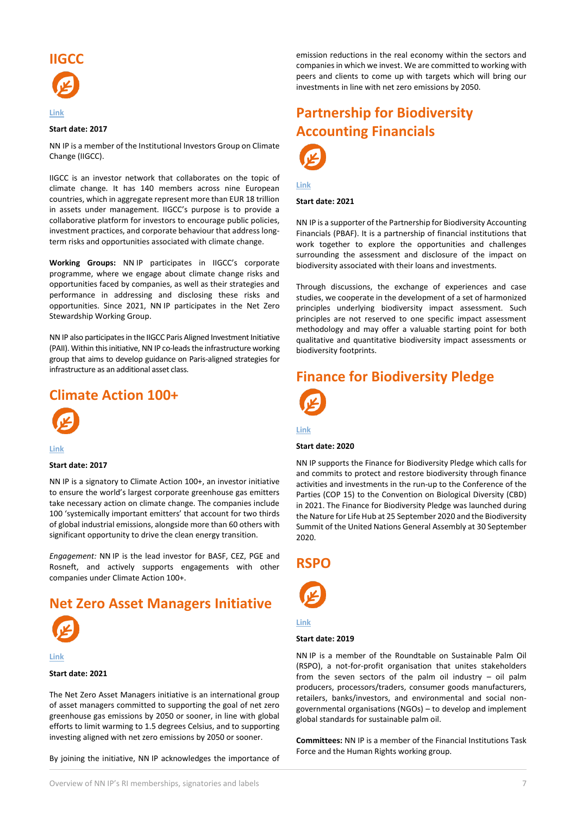<span id="page-6-0"></span>

#### **Start date: 2017**

NN IP is a member of the Institutional Investors Group on Climate Change (IIGCC).

IIGCC is an investor network that collaborates on the topic of climate change. It has 140 members across nine European countries, which in aggregate represent more than EUR 18 trillion in assets under management. IIGCC's purpose is to provide a collaborative platform for investors to encourage public policies, investment practices, and corporate behaviour that address longterm risks and opportunities associated with climate change.

**Working Groups:** NN IP participates in IIGCC's corporate programme, where we engage about climate change risks and opportunities faced by companies, as well as their strategies and performance in addressing and disclosing these risks and opportunities. Since 2021, NN IP participates in the Net Zero Stewardship Working Group.

NN IP also participates in the IIGCC Paris Aligned Investment Initiative (PAII). Within this initiative, NN IP co-leads the infrastructure working group that aims to develop guidance on Paris-aligned strategies for infrastructure as an additional asset class.

### <span id="page-6-1"></span>**Climate Action 100+**



**[Link](http://www.climateaction100.org/)**

#### **Start date: 2017**

NN IP is a signatory to Climate Action 100+, an investor initiative to ensure the world's largest corporate greenhouse gas emitters take necessary action on climate change. The companies include 100 'systemically important emitters' that account for two thirds of global industrial emissions, alongside more than 60 others with significant opportunity to drive the clean energy transition.

*Engagement:* NN IP is the lead investor for BASF, CEZ, PGE and Rosneft, and actively supports engagements with other companies under Climate Action 100+.

### <span id="page-6-2"></span>**Net Zero Asset Managers Initiative**



**[Link](https://www.netzeroassetmanagers.org/)**

#### **Start date: 2021**

The Net Zero Asset Managers initiative is an international group of asset managers committed to supporting the goal of net zero greenhouse gas emissions by 2050 or sooner, in line with global efforts to limit warming to 1.5 degrees Celsius, and to supporting investing aligned with net zero emissions by 2050 or sooner.

By joining the initiative, NN IP acknowledges the importance of

emission reductions in the real economy within the sectors and companies in which we invest. We are committed to working with peers and clients to come up with targets which will bring our investments in line with net zero emissions by 2050.

### <span id="page-6-3"></span>**Partnership for Biodiversity Accounting Financials**



**[Link](https://www.pbafglobal.com/)**

#### **Start date: 2021**

NN IP is a supporter of the Partnership for Biodiversity Accounting Financials (PBAF). It is a partnership of financial institutions that work together to explore the opportunities and challenges surrounding the assessment and disclosure of the impact on biodiversity associated with their loans and investments.

Through discussions, the exchange of experiences and case studies, we cooperate in the development of a set of harmonized principles underlying biodiversity impact assessment. Such principles are not reserved to one specific impact assessment methodology and may offer a valuable starting point for both qualitative and quantitative biodiversity impact assessments or biodiversity footprints.

### <span id="page-6-4"></span>**Finance for Biodiversity Pledge**



### **[Link](https://www.financeforbiodiversity.org/)**

#### **Start date: 2020**

NN IP supports the Finance for Biodiversity Pledge which calls for and commits to protect and restore biodiversity through finance activities and investments in the run-up to the Conference of the Parties (COP 15) to the Convention on Biological Diversity (CBD) in 2021. The Finance for Biodiversity Pledge was launched during the Nature for Life Hub at 25 September 2020 and the Biodiversity Summit of the United Nations General Assembly at 30 September 2020.

### <span id="page-6-5"></span>**RSPO**



### **[Link](https://rspo.org/)**

#### **Start date: 2019**

NN IP is a member of the Roundtable on Sustainable Palm Oil (RSPO), a not-for-profit organisation that unites stakeholders from the seven sectors of the palm oil industry – oil palm producers, processors/traders, consumer goods manufacturers, retailers, banks/investors, and environmental and social nongovernmental organisations (NGOs) – to develop and implement global standards for sustainable palm oil.

**Committees:** NN IP is a member of the Financial Institutions Task Force and the Human Rights working group.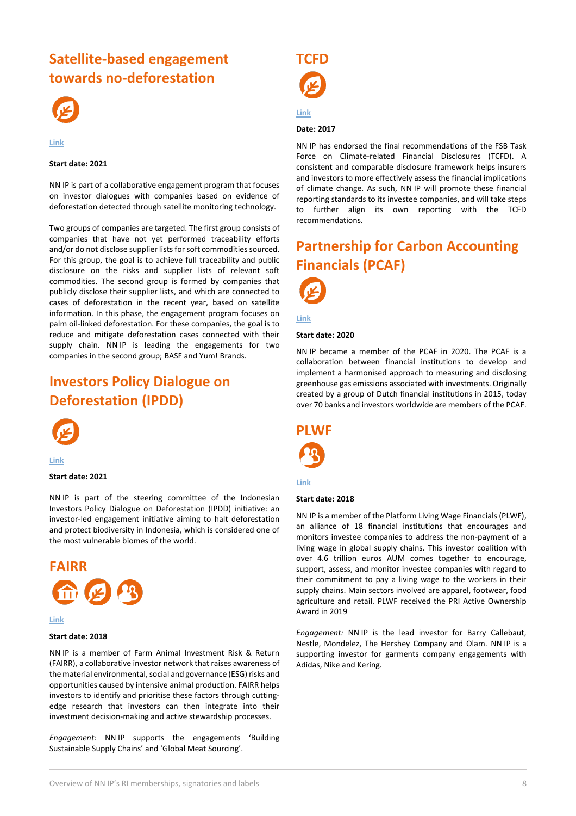### <span id="page-7-0"></span>**Satellite-based engagement towards no-deforestation**



#### **[Link](https://www.actiam.com/en/sustainable-investments/land-biodiversity/)**

### **Start date: 2021**

NN IP is part of a collaborative engagement program that focuses on investor dialogues with companies based on evidence of deforestation detected through satellite monitoring technology.

Two groups of companies are targeted. The first group consists of companies that have not yet performed traceability efforts and/or do not disclose supplier lists for soft commodities sourced. For this group, the goal is to achieve full traceability and public disclosure on the risks and supplier lists of relevant soft commodities. The second group is formed by companies that publicly disclose their supplier lists, and which are connected to cases of deforestation in the recent year, based on satellite information. In this phase, the engagement program focuses on palm oil-linked deforestation. For these companies, the goal is to reduce and mitigate deforestation cases connected with their supply chain. NN IP is leading the engagements for two companies in the second group; BASF and Yum! Brands.

### <span id="page-7-1"></span>**Investors Policy Dialogue on Deforestation (IPDD)**



**[Link](https://www.tropicalforestalliance.org/en/collective-action-agenda/finance/investors-policy-dialogue-on-deforestation-ipdd-initiative/)**

#### **Start date: 2021**

NN IP is part of the steering committee of the Indonesian Investors Policy Dialogue on Deforestation (IPDD) initiative: an investor-led engagement initiative aiming to halt deforestation and protect biodiversity in Indonesia, which is considered one of the most vulnerable biomes of the world.

<span id="page-7-2"></span>

#### **[Link](https://www.fairr.org/)**

#### **Start date: 2018**

NN IP is a member of Farm Animal Investment Risk & Return (FAIRR), a collaborative investor network that raises awareness of the material environmental, social and governance (ESG) risks and opportunities caused by intensive animal production. FAIRR helps investors to identify and prioritise these factors through cuttingedge research that investors can then integrate into their investment decision-making and active stewardship processes.

*Engagement:* NN IP supports the engagements 'Building Sustainable Supply Chains' and 'Global Meat Sourcing'.

<span id="page-7-3"></span>

### **[Link](https://www.fsb-tcfd.org/)**

### **Date: 2017**

NN IP has endorsed the final recommendations of the FSB Task Force on Climate-related Financial Disclosures (TCFD). A consistent and comparable disclosure framework helps insurers and investors to more effectively assess the financial implications of climate change. As such, NN IP will promote these financial reporting standards to its investee companies, and will take steps to further align its own reporting with the TCFD recommendations.

### <span id="page-7-4"></span>**Partnership for Carbon Accounting Financials (PCAF)**



#### **[Link](https://carbonaccountingfinancials.com/)**

#### **Start date: 2020**

NN IP became a member of the PCAF in 2020. The PCAF is a collaboration between financial institutions to develop and implement a harmonised approach to measuring and disclosing greenhouse gas emissions associated with investments. Originally created by a group of Dutch financial institutions in 2015, today over 70 banks and investors worldwide are members of the PCAF.

<span id="page-7-5"></span>

#### **[Link](https://www.livingwage.nl/)**

#### **Start date: 2018**

NN IP is a member of the Platform Living Wage Financials (PLWF), an alliance of 18 financial institutions that encourages and monitors investee companies to address the non-payment of a living wage in global supply chains. This investor coalition with over 4.6 trillion euros AUM comes together to encourage, support, assess, and monitor investee companies with regard to their commitment to pay a living wage to the workers in their supply chains. Main sectors involved are apparel, footwear, food agriculture and retail. PLWF received the PRI Active Ownership Award in 2019

*Engagement:* NN IP is the lead investor for Barry Callebaut, Nestle, Mondelez, The Hershey Company and Olam. NN IP is a supporting investor for garments company engagements with Adidas, Nike and Kering.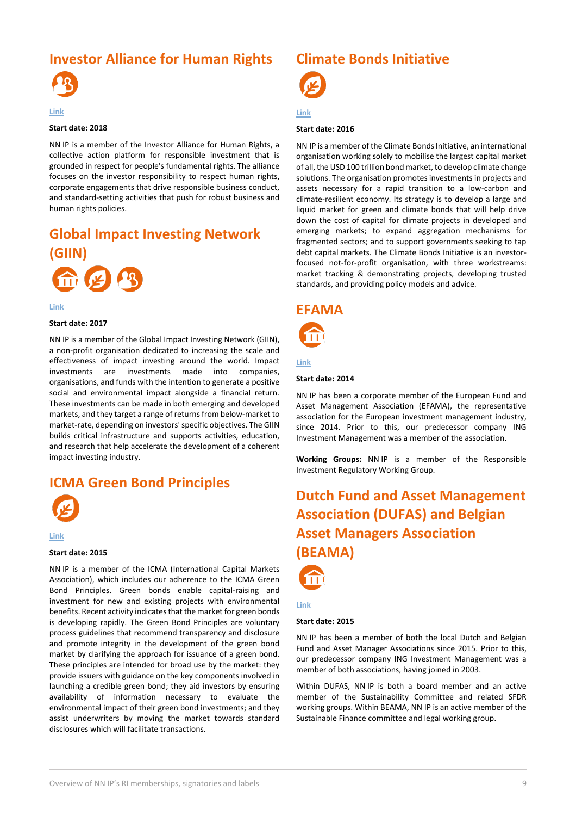### <span id="page-8-0"></span>**Investor Alliance for Human Rights**



#### **[Link](https://investorsforhumanrights.org/)**

### **Start date: 2018**

NN IP is a member of the Investor Alliance for Human Rights, a collective action platform for responsible investment that is grounded in respect for people's fundamental rights. The alliance focuses on the investor responsibility to respect human rights, corporate engagements that drive responsible business conduct, and standard-setting activities that push for robust business and human rights policies.

## <span id="page-8-1"></span>**Global Impact Investing Network**



**[Link](https://thegiin.org/)**

### **Start date: 2017**

NN IP is a member of the Global Impact Investing Network (GIIN), a non-profit organisation dedicated to increasing the scale and effectiveness of impact investing around the world. Impact investments are investments made into companies, organisations, and funds with the intention to generate a positive social and environmental impact alongside a financial return. These investments can be made in both emerging and developed markets, and they target a range of returns from below-market to market-rate, depending on investors' specific objectives. The GIIN builds critical infrastructure and supports activities, education, and research that help accelerate the development of a coherent impact investing industry.

### <span id="page-8-2"></span>**ICMA Green Bond Principles**



**[Link](https://www.icmagroup.org/Regulatory-Policy-and-Market-Practice/green-social-and-sustainability-bonds/green-bond-principles-gbp/)**

#### **Start date: 2015**

NN IP is a member of the ICMA (International Capital Markets Association), which includes our adherence to the ICMA Green Bond Principles. Green bonds enable capital-raising and investment for new and existing projects with environmental benefits. Recent activity indicates that the market for green bonds is developing rapidly. The Green Bond Principles are voluntary process guidelines that recommend transparency and disclosure and promote integrity in the development of the green bond market by clarifying the approach for issuance of a green bond. These principles are intended for broad use by the market: they provide issuers with guidance on the key components involved in launching a credible green bond; they aid investors by ensuring availability of information necessary to evaluate the environmental impact of their green bond investments; and they assist underwriters by moving the market towards standard disclosures which will facilitate transactions.

### <span id="page-8-3"></span>**Climate Bonds Initiative**



### **[Link](https://www.climatebonds.net/)**

#### **Start date: 2016**

NN IP is a member of the Climate Bonds Initiative, an international organisation working solely to mobilise the largest capital market of all, the USD 100 trillion bond market, to develop climate change solutions. The organisation promotes investments in projects and assets necessary for a rapid transition to a low-carbon and climate-resilient economy. Its strategy is to develop a large and liquid market for green and climate bonds that will help drive down the cost of capital for climate projects in developed and emerging markets; to expand aggregation mechanisms for fragmented sectors; and to support governments seeking to tap debt capital markets. The Climate Bonds Initiative is an investorfocused not-for-profit organisation, with three workstreams: market tracking & demonstrating projects, developing trusted standards, and providing policy models and advice.

### <span id="page-8-4"></span>**EFAMA**

### **[Link](http://www.efama.org/SitePages/Home.aspx)**

### **Start date: 2014**

NN IP has been a corporate member of the European Fund and Asset Management Association (EFAMA), the representative association for the European investment management industry, since 2014. Prior to this, our predecessor company ING Investment Management was a member of the association.

**Working Groups:** NN IP is a member of the Responsible Investment Regulatory Working Group.

## <span id="page-8-5"></span>**Dutch Fund and Asset Management Association (DUFAS) and Belgian Asset Managers Association (BEAMA)**



### **[Link](https://www.dufas.nl/)**

### **Start date: 2015**

NN IP has been a member of both the local Dutch and Belgian Fund and Asset Manager Associations since 2015. Prior to this, our predecessor company ING Investment Management was a member of both associations, having joined in 2003.

Within DUFAS, NN IP is both a board member and an active member of the Sustainability Committee and related SFDR working groups. Within BEAMA, NN IP is an active member of the Sustainable Finance committee and legal working group.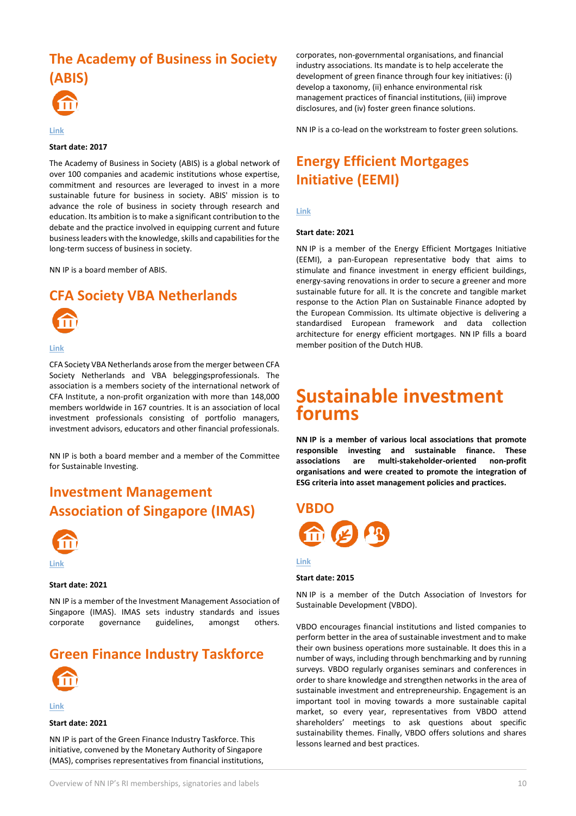# <span id="page-9-0"></span>**The Academy of Business in Society (ABIS)**



#### **[Link](https://www.abis-global.org/)**

### **Start date: 2017**

The Academy of Business in Society (ABIS) is a global network of over 100 companies and academic institutions whose expertise, commitment and resources are leveraged to invest in a more sustainable future for business in society. ABIS' mission is to advance the role of business in society through research and education. Its ambition is to make a significant contribution to the debate and the practice involved in equipping current and future business leaders with the knowledge, skills and capabilities for the long-term success of business in society.

NN IP is a board member of ABIS.

### <span id="page-9-1"></span>**CFA Society VBA Netherlands**



#### **[Link](https://cfavba.nl/en/)**

CFA Society VBA Netherlands arose from the merger between CFA Society Netherlands and VBA beleggingsprofessionals. The association is a members society of the international network of CFA Institute, a non-profit organization with more than 148,000 members worldwide in 167 countries. It is an association of local investment professionals consisting of portfolio managers, investment advisors, educators and other financial professionals.

NN IP is both a board member and a member of the Committee for Sustainable Investing.

### <span id="page-9-2"></span>**Investment Management Association of Singapore (IMAS)**



#### **Start date: 2021**

NN IP is a member of the Investment Management Association of Singapore (IMAS). IMAS sets industry standards and issues corporate governance guidelines, amongst others.

### <span id="page-9-3"></span>**Green Finance Industry Taskforce**



**[Link](https://www.mas.gov.sg/news/media-releases/2021/accelerating-green-finance)**

#### **Start date: 2021**

NN IP is part of the Green Finance Industry Taskforce. This initiative, convened by the Monetary Authority of Singapore (MAS), comprises representatives from financial institutions, corporates, non-governmental organisations, and financial industry associations. Its mandate is to help accelerate the development of green finance through four key initiatives: (i) develop a taxonomy, (ii) enhance environmental risk management practices of financial institutions, (iii) improve disclosures, and (iv) foster green finance solutions.

NN IP is a co-lead on the workstream to foster green solutions.

### <span id="page-9-4"></span>**Energy Efficient Mortgages Initiative (EEMI)**

**[Link](https://energyefficientmortgages.eu/)**

#### **Start date: 2021**

NN IP is a member of the Energy Efficient Mortgages Initiative (EEMI), a pan-European representative body that aims to stimulate and finance investment in energy efficient buildings, energy-saving renovations in order to secure a greener and more sustainable future for all. It is the concrete and tangible market response to the Action Plan on Sustainable Finance adopted by the European Commission. Its ultimate objective is delivering a standardised European framework and data collection architecture for energy efficient mortgages. NN IP fills a board member position of the Dutch HUB.

### **Sustainable investment forums**

**NN IP is a member of various local associations that promote responsible investing and sustainable finance. These associations are multi-stakeholder-oriented non-profit organisations and were created to promote the integration of ESG criteria into asset management policies and practices.** 

<span id="page-9-5"></span>

#### **[Link](https://www.vbdo.nl/en/)**

#### **Start date: 2015**

NN IP is a member of the Dutch Association of Investors for Sustainable Development (VBDO).

VBDO encourages financial institutions and listed companies to perform better in the area of sustainable investment and to make their own business operations more sustainable. It does this in a number of ways, including through benchmarking and by running surveys. VBDO regularly organises seminars and conferences in order to share knowledge and strengthen networks in the area of sustainable investment and entrepreneurship. Engagement is an important tool in moving towards a more sustainable capital market, so every year, representatives from VBDO attend shareholders' meetings to ask questions about specific sustainability themes. Finally, VBDO offers solutions and shares lessons learned and best practices.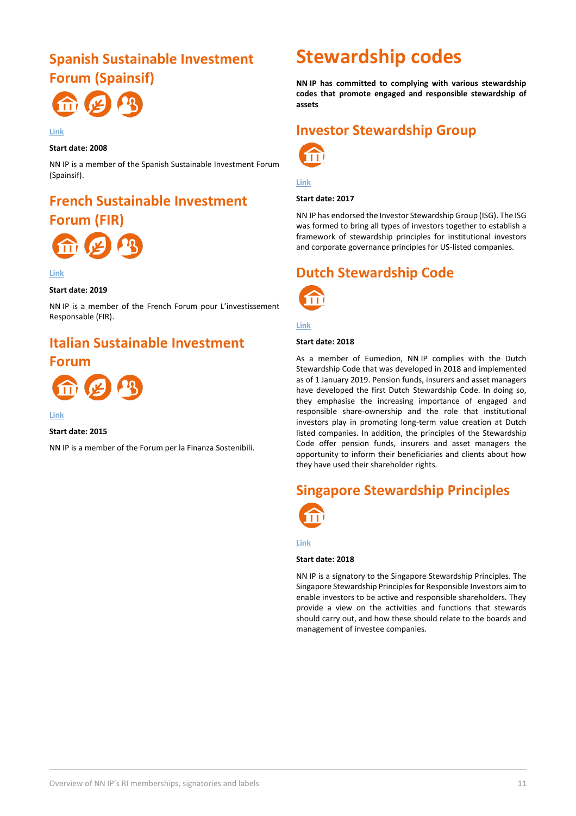### <span id="page-10-0"></span>**Spanish Sustainable Investment Forum (Spainsif)**



#### **[Link](https://www.spainsif.es/)**

**Start date: 2008**

NN IP is a member of the Spanish Sustainable Investment Forum (Spainsif).

### <span id="page-10-1"></span>**French Sustainable Investment Forum (FIR)**



**[Link](https://www.frenchsif.org/isr-esg/)**

### **Start date: 2019**

NN IP is a member of the French Forum pour L'investissement Responsable (FIR).

### <span id="page-10-2"></span>**Italian Sustainable Investment**

### **Forum**



### **[Link](https://finanzasostenibile.it/)**

### **Start date: 2015**

NN IP is a member of the Forum per la Finanza Sostenibili.

## **Stewardship codes**

**NN IP has committed to complying with various stewardship codes that promote engaged and responsible stewardship of assets**

### <span id="page-10-3"></span>**Investor Stewardship Group**



**[Link](https://www.isgframework.org/)**

### **Start date: 2017**

NN IP has endorsed the Investor Stewardship Group (ISG). The ISG was formed to bring all types of investors together to establish a framework of stewardship principles for institutional investors and corporate governance principles for US-listed companies.

### <span id="page-10-4"></span>**Dutch Stewardship Code**



### **[Link](https://www.eumedion.nl/clientdata/215/media/clientimages/2018-07-nederlandse-stewardship-code-nl-versie.pdf?v=191119160245)**

#### **Start date: 2018**

As a member of Eumedion, NN IP complies with the Dutch Stewardship Code that was developed in 2018 and implemented as of 1 January 2019. Pension funds, insurers and asset managers have developed the first Dutch Stewardship Code. In doing so, they emphasise the increasing importance of engaged and responsible share-ownership and the role that institutional investors play in promoting long-term value creation at Dutch listed companies. In addition, the principles of the Stewardship Code offer pension funds, insurers and asset managers the opportunity to inform their beneficiaries and clients about how they have used their shareholder rights.

# <span id="page-10-5"></span>**Singapore Stewardship Principles**

**[Link](http://www.imas.org.sg/Articles/267-singapore-stewardship-principles-ssp-.html)**

### **Start date: 2018**

NN IP is a signatory to the Singapore Stewardship Principles. The Singapore Stewardship Principles for Responsible Investors aim to enable investors to be active and responsible shareholders. They provide a view on the activities and functions that stewards should carry out, and how these should relate to the boards and management of investee companies.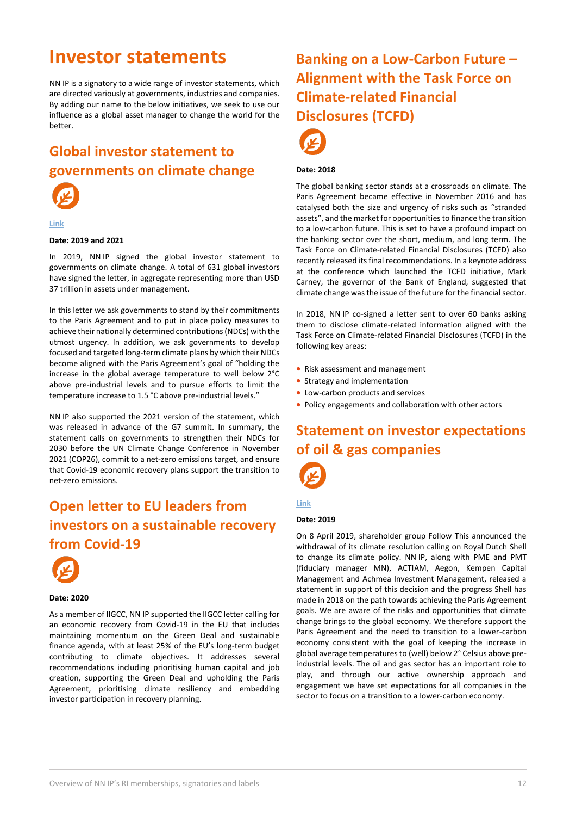## **Investor statements**

NN IP is a signatory to a wide range of investor statements, which are directed variously at governments, industries and companies. By adding our name to the below initiatives, we seek to use our influence as a global asset manager to change the world for the better.

### <span id="page-11-0"></span>**Global investor statement to governments on climate change**



#### **[Link](https://www.iigcc.org/download/2021-global-investor-statement-to-governments-on-the-climate-crisis/?wpdmdl=4555&refresh=60c1fa3d0cdce1623325245)**

### **Date: 2019 and 2021**

In 2019, NN IP signed the global investor statement to governments on climate change. A total of 631 global investors have signed the letter, in aggregate representing more than USD 37 trillion in assets under management.

In this letter we ask governments to stand by their commitments to the Paris Agreement and to put in place policy measures to achieve their nationally determined contributions (NDCs) with the utmost urgency. In addition, we ask governments to develop focused and targeted long-term climate plans by which their NDCs become aligned with the Paris Agreement's goal of "holding the increase in the global average temperature to well below 2°C above pre-industrial levels and to pursue efforts to limit the temperature increase to 1.5 °C above pre-industrial levels."

NN IP also supported the 2021 version of the statement, which was released in advance of the G7 summit. In summary, the statement calls on governments to strengthen their NDCs for 2030 before the UN Climate Change Conference in November 2021 (COP26), commit to a net-zero emissions target, and ensure that Covid-19 economic recovery plans support the transition to net-zero emissions.

### <span id="page-11-1"></span>**Open letter to EU leaders from investors on a sustainable recovery from Covid-19**



### **Date: 2020**

As a member of IIGCC, NN IP supported the IIGCC letter calling for an economic recovery from Covid-19 in the EU that includes maintaining momentum on the Green Deal and sustainable finance agenda, with at least 25% of the EU's long-term budget contributing to climate objectives. It addresses several recommendations including prioritising human capital and job creation, supporting the Green Deal and upholding the Paris Agreement, prioritising climate resiliency and embedding investor participation in recovery planning.

### <span id="page-11-2"></span>**Banking on a Low-Carbon Future – Alignment with the Task Force on Climate-related Financial Disclosures (TCFD)**



### **Date: 2018**

The global banking sector stands at a crossroads on climate. The Paris Agreement became effective in November 2016 and has catalysed both the size and urgency of risks such as "stranded assets", and the market for opportunities to finance the transition to a low-carbon future. This is set to have a profound impact on the banking sector over the short, medium, and long term. The Task Force on Climate-related Financial Disclosures (TCFD) also recently released its final recommendations. In a keynote address at the conference which launched the TCFD initiative, Mark Carney, the governor of the Bank of England, suggested that climate change was the issue of the future for the financial sector.

In 2018, NN IP co-signed a letter sent to over 60 banks asking them to disclose climate-related information aligned with the Task Force on Climate-related Financial Disclosures (TCFD) in the following key areas:

- Risk assessment and management
- Strategy and implementation
- Low-carbon products and services
- Policy engagements and collaboration with other actors

### <span id="page-11-3"></span>**Statement on investor expectations of oil & gas companies**



### **[Link](https://www.nnip.com/en-INT/professional/insights/statement-investors-expectations-of-oil-and-gas-companies)**

### **Date: 2019**

On 8 April 2019, shareholder group Follow This announced the withdrawal of its climate resolution calling on Royal Dutch Shell to change its climate policy. NN IP, along with PME and PMT (fiduciary manager MN), ACTIAM, Aegon, Kempen Capital Management and Achmea Investment Management, released a statement in support of this decision and the progress Shell has made in 2018 on the path towards achieving the Paris Agreement goals. We are aware of the risks and opportunities that climate change brings to the global economy. We therefore support the Paris Agreement and the need to transition to a lower-carbon economy consistent with the goal of keeping the increase in global average temperatures to (well) below 2° Celsius above preindustrial levels. The oil and gas sector has an important role to play, and through our active ownership approach and engagement we have set expectations for all companies in the sector to focus on a transition to a lower-carbon economy.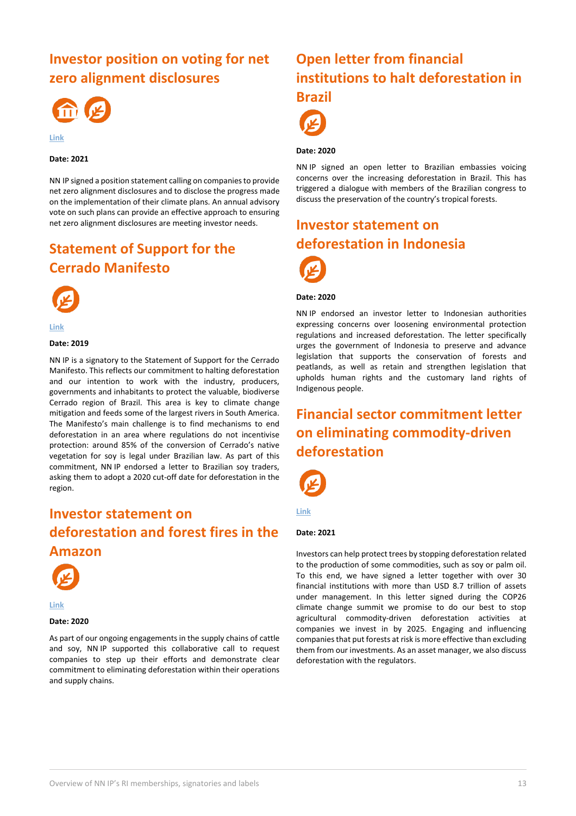### <span id="page-12-0"></span>**Investor position on voting for net zero alignment disclosures**



**[Link](https://www.iigcc.org/news/usd-14-trillion-investors-call-for-consistency-on-corporate-net-zero-alignment-plans/)**

#### **Date: 2021**

NN IP signed a position statement calling on companies to provide net zero alignment disclosures and to disclose the progress made on the implementation of their climate plans. An annual advisory vote on such plans can provide an effective approach to ensuring net zero alignment disclosures are meeting investor needs.

### <span id="page-12-1"></span>**Statement of Support for the Cerrado Manifesto**



**[Link](https://cerradostatement.fairr.org/signatories/)**

### **Date: 2019**

NN IP is a signatory to the Statement of Support for the Cerrado Manifesto. This reflects our commitment to halting deforestation and our intention to work with the industry, producers, governments and inhabitants to protect the valuable, biodiverse Cerrado region of Brazil. This area is key to climate change mitigation and feeds some of the largest rivers in South America. The Manifesto's main challenge is to find mechanisms to end deforestation in an area where regulations do not incentivise protection: around 85% of the conversion of Cerrado's native vegetation for soy is legal under Brazilian law. As part of this commitment, NN IP endorsed a letter to Brazilian soy traders, asking them to adopt a 2020 cut-off date for deforestation in the region.

### <span id="page-12-2"></span>**Investor statement on deforestation and forest fires in the Amazon**





### **Date: 2020**

As part of our ongoing engagements in the supply chains of cattle and soy, NN IP supported this collaborative call to request companies to step up their efforts and demonstrate clear commitment to eliminating deforestation within their operations and supply chains.

### <span id="page-12-3"></span>**Open letter from financial institutions to halt deforestation in Brazil**



### **Date: 2020**

NN IP signed an open letter to Brazilian embassies voicing concerns over the increasing deforestation in Brazil. This has triggered a dialogue with members of the Brazilian congress to discuss the preservation of the country's tropical forests.

### <span id="page-12-4"></span>**Investor statement on deforestation in Indonesia**



#### **Date: 2020**

NN IP endorsed an investor letter to Indonesian authorities expressing concerns over loosening environmental protection regulations and increased deforestation. The letter specifically urges the government of Indonesia to preserve and advance legislation that supports the conservation of forests and peatlands, as well as retain and strengthen legislation that upholds human rights and the customary land rights of Indigenous people.

### <span id="page-12-5"></span>**Financial sector commitment letter on eliminating commodity-driven deforestation**



**[Link](https://racetozero.unfccc.int/wp-content/uploads/2021/11/DFF-Commitment-Letter-.pdf)**

### **Date: 2021**

Investors can help protect trees by stopping deforestation related to the production of some commodities, such as soy or palm oil. To this end, we have signed a letter together with over 30 financial institutions with more than USD 8.7 trillion of assets under management. In this letter signed during the COP26 climate change summit we promise to do our best to stop agricultural commodity-driven deforestation activities at companies we invest in by 2025. Engaging and influencing companies that put forests at risk is more effective than excluding them from our investments. As an asset manager, we also discuss deforestation with the regulators.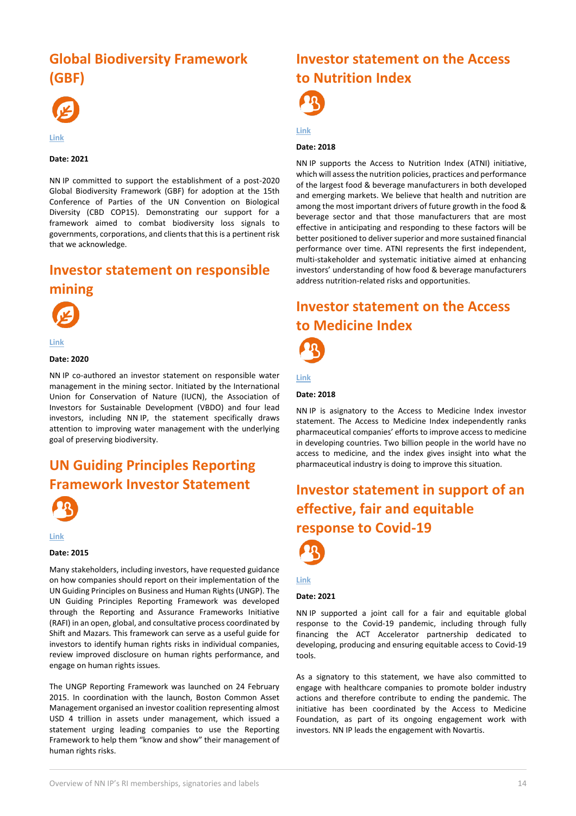### <span id="page-13-0"></span>**Global Biodiversity Framework (GBF)**



**[Link](https://www.financeforbiodiversity.org/wp-content/uploads/COP15-Financial-Institution-Statement.pdf)**

#### **Date: 2021**

NN IP committed to support the establishment of a post-2020 Global Biodiversity Framework (GBF) for adoption at the 15th Conference of Parties of the UN Convention on Biological Diversity (CBD COP15). Demonstrating our support for a framework aimed to combat biodiversity loss signals to governments, corporations, and clients that this is a pertinent risk that we acknowledge.

### <span id="page-13-1"></span>**Investor statement on responsible mining**



**[Link](https://www.vbdo.nl/wp-content/uploads/2020/09/200925-Investor-statement-Mining-and-Watermanagement-final-4.pdf)**

#### **Date: 2020**

NN IP co-authored an investor statement on responsible water management in the mining sector. Initiated by the International Union for Conservation of Nature (IUCN), the Association of Investors for Sustainable Development (VBDO) and four lead investors, including NN IP, the statement specifically draws attention to improving water management with the underlying goal of preserving biodiversity.

### <span id="page-13-2"></span>**UN Guiding Principles Reporting Framework Investor Statement**





#### **Date: 2015**

Many stakeholders, including investors, have requested guidance on how companies should report on their implementation of the UN Guiding Principles on Business and Human Rights (UNGP). The UN Guiding Principles Reporting Framework was developed through the Reporting and Assurance Frameworks Initiative (RAFI) in an open, global, and consultative process coordinated by Shift and Mazars. This framework can serve as a useful guide for investors to identify human rights risks in individual companies, review improved disclosure on human rights performance, and engage on human rights issues.

The UNGP Reporting Framework was launched on 24 February 2015. In coordination with the launch, Boston Common Asset Management organised an investor coalition representing almost USD 4 trillion in assets under management, which issued a statement urging leading companies to use the Reporting Framework to help them "know and show" their management of human rights risks.

### <span id="page-13-3"></span>**Investor statement on the Access to Nutrition Index**

**[Link](https://www.accesstonutrition.org/)**

#### **Date: 2018**

NN IP supports the Access to Nutrition Index (ATNI) initiative, which will assess the nutrition policies, practices and performance of the largest food & beverage manufacturers in both developed and emerging markets. We believe that health and nutrition are among the most important drivers of future growth in the food & beverage sector and that those manufacturers that are most effective in anticipating and responding to these factors will be better positioned to deliver superior and more sustained financial performance over time. ATNI represents the first independent, multi-stakeholder and systematic initiative aimed at enhancing investors' understanding of how food & beverage manufacturers address nutrition-related risks and opportunities.

### <span id="page-13-4"></span>**Investor statement on the Access to Medicine Index**



**[Link](https://accesstomedicinefoundation.org/media/atmf/Access-to-Medicine-Foundation_InvestorsStatement_2018.pdf)**

#### **Date: 2018**

NN IP is asignatory to the Access to Medicine Index investor statement. The Access to Medicine Index independently ranks pharmaceutical companies' efforts to improve access to medicine in developing countries. Two billion people in the world have no access to medicine, and the index gives insight into what the pharmaceutical industry is doing to improve this situation.

### <span id="page-13-5"></span>**Investor statement in support of an effective, fair and equitable response to Covid-19**



#### **[Link](https://accesstomedicinefoundation.org/news/investors-issue-urgent-call-for-fair-and-equitable-global-response-to-covid-19)**

#### **Date: 2021**

NN IP supported a joint call for a fair and equitable global response to the Covid-19 pandemic, including through fully financing the ACT Accelerator partnership dedicated to developing, producing and ensuring equitable access to Covid-19 tools.

As a signatory to this statement, we have also committed to engage with healthcare companies to promote bolder industry actions and therefore contribute to ending the pandemic. The initiative has been coordinated by the Access to Medicine Foundation, as part of its ongoing engagement work with investors. NN IP leads the engagement with Novartis.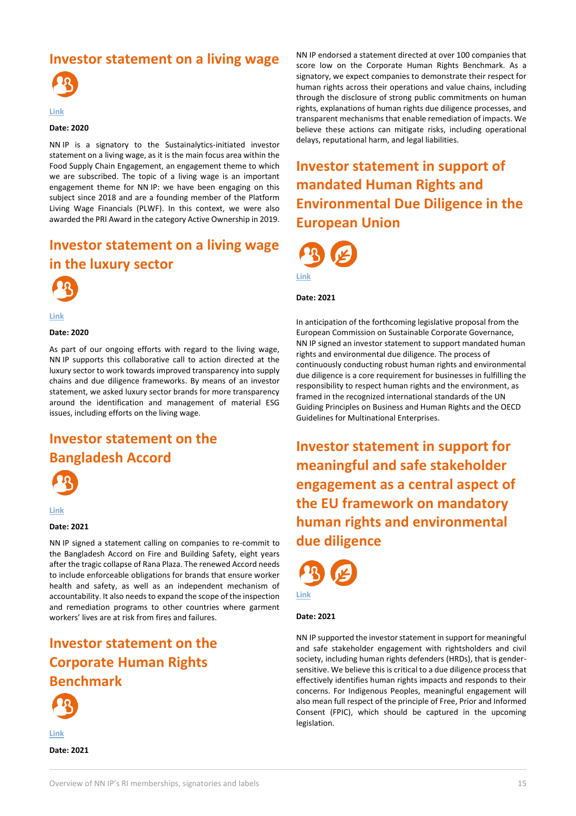### <span id="page-14-0"></span>**Investor statement on a living wage**



### **[Link](https://www.sustainalytics.com/esg-blog/the-quest-for-supply-chain-resilience/)**

### **Date: 2020**

NN IP is a signatory to the Sustainalytics-initiated investor statement on a living wage, as it is the main focus area within the Food Supply Chain Engagement, an engagement theme to which we are subscribed. The topic of a living wage is an important engagement theme for NN IP: we have been engaging on this subject since 2018 and are a founding member of the Platform Living Wage Financials (PLWF). In this context, we were also awarded the PRI Award in the category Active Ownership in 2019.

### <span id="page-14-1"></span>**Investor statement on a living wage in the luxury sector**



**[Link](https://www.livingwage.nl/wp-content/uploads/2020/02/PLWF-statement-calling-for-improved-transparency-in-the-luxury-fashion-sector.pdf)**

### **Date: 2020**

As part of our ongoing efforts with regard to the living wage, NN IP supports this collaborative call to action directed at the luxury sector to work towards improved transparency into supply chains and due diligence frameworks. By means of an investor statement, we asked luxury sector brands for more transparency around the identification and management of material ESG issues, including efforts on the living wage.

### <span id="page-14-2"></span>**Investor statement on the Bangladesh Accord**



#### **[Link](https://www.iccr.org/work-remaining-and-covid19-still-raging-investors-caution-against-allowing-bangladesh-accord-fire)**

#### **Date: 2021**

NN IP signed a statement calling on companies to re-commit to the Bangladesh Accord on Fire and Building Safety, eight years after the tragic collapse of Rana Plaza. The renewed Accord needs to include enforceable obligations for brands that ensure worker health and safety, as well as an independent mechanism of accountability. It also needs to expand the scope of the inspection and remediation programs to other countries where garment workers' lives are at risk from fires and failures.

### <span id="page-14-3"></span>**Investor statement on the Corporate Human Rights Benchmark**



**[Link](https://investorsforhumanrights.org/sites/default/files/attachments/2021-02/Public%20Statement%20Calling%20on%20Companies%20to%20Improve%20Human%20Rights%20Performance%20-%20Feb%202021_0.pdf) Date: 2021** NN IP endorsed a statement directed at over 100 companies that score low on the Corporate Human Rights Benchmark. As a signatory, we expect companies to demonstrate their respect for human rights across their operations and value chains, including through the disclosure of strong public commitments on human rights, explanations of human rights due diligence processes, and transparent mechanisms that enable remediation of impacts. We believe these actions can mitigate risks, including operational delays, reputational harm, and legal liabilities.

### <span id="page-14-4"></span>**Investor statement in support of mandated Human Rights and Environmental Due Diligence in the European Union**



#### **Date: 2021**

In anticipation of the forthcoming legislative proposal from the European Commission on Sustainable Corporate Governance, NN IP signed an investor statement to support mandated human rights and environmental due diligence. The process of continuously conducting robust human rights and environmental due diligence is a core requirement for businesses in fulfilling the responsibility to respect human rights and the environment, as framed in the recognized international standards of the UN Guiding Principles on Business and Human Rights and the OECD Guidelines for Multinational Enterprises.

<span id="page-14-5"></span>**Investor statement in support for meaningful and safe stakeholder engagement as a central aspect of the EU framework on mandatory human rights and environmental due diligence**



### **[Link](https://investorsforhumanrights.org/sites/default/files/attachments/2021-10/Support%20for%20stakeholder%20in%20EU%20framework%20on%20mHREDD.pdf)**

### **Date: 2021**

NN IP supported the investor statement in support for meaningful and safe stakeholder engagement with rightsholders and civil society, including human rights defenders (HRDs), that is gendersensitive. We believe this is critical to a due diligence process that effectively identifies human rights impacts and responds to their concerns. For Indigenous Peoples, meaningful engagement will also mean full respect of the principle of Free, Prior and Informed Consent (FPIC), which should be captured in the upcoming legislation.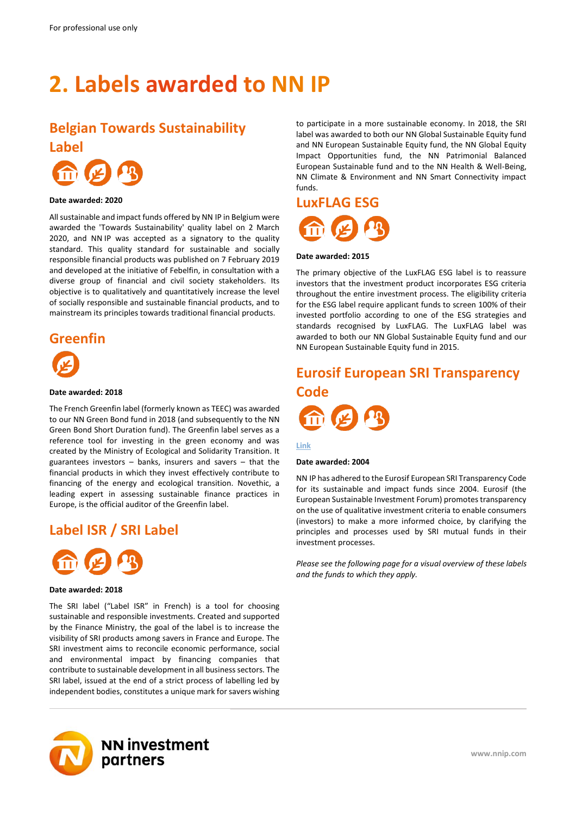# <span id="page-15-0"></span>**2. Labels awarded to NN IP**

### <span id="page-15-1"></span>**Belgian Towards Sustainability**





#### **Date awarded: 2020**

All sustainable and impact funds offered by NN IP in Belgium were awarded the 'Towards Sustainability' quality label on 2 March 2020, and NN IP was accepted as a signatory to the quality standard. This quality standard for sustainable and socially responsible financial products was published on 7 February 2019 and developed at the initiative of Febelfin, in consultation with a diverse group of financial and civil society stakeholders. Its objective is to qualitatively and quantitatively increase the level of socially responsible and sustainable financial products, and to mainstream its principles towards traditional financial products.

# <span id="page-15-2"></span>**Greenfin**



#### **Date awarded: 2018**

The French Greenfin label (formerly known as TEEC) was awarded to our NN Green Bond fund in 2018 (and subsequently to the NN Green Bond Short Duration fund). The Greenfin label serves as a reference tool for investing in the green economy and was created by the Ministry of Ecological and Solidarity Transition. It guarantees investors – banks, insurers and savers – that the financial products in which they invest effectively contribute to financing of the energy and ecological transition. Novethic, a leading expert in assessing sustainable finance practices in Europe, is the official auditor of the Greenfin label.

### <span id="page-15-3"></span>**Label ISR / SRI Label**



#### **Date awarded: 2018**

The SRI label ("Label ISR" in French) is a tool for choosing sustainable and responsible investments. Created and supported by the Finance Ministry, the goal of the label is to increase the visibility of SRI products among savers in France and Europe. The SRI investment aims to reconcile economic performance, social and environmental impact by financing companies that contribute to sustainable development in all business sectors. The SRI label, issued at the end of a strict process of labelling led by independent bodies, constitutes a unique mark for savers wishing



to participate in a more sustainable economy. In 2018, the SRI label was awarded to both our NN Global Sustainable Equity fund and NN European Sustainable Equity fund, the NN Global Equity Impact Opportunities fund, the NN Patrimonial Balanced European Sustainable fund and to the NN Health & Well-Being, NN Climate & Environment and NN Smart Connectivity impact funds.

# <span id="page-15-4"></span>**LuxFLAG ESG**

#### **Date awarded: 2015**

The primary objective of the LuxFLAG ESG label is to reassure investors that the investment product incorporates ESG criteria throughout the entire investment process. The eligibility criteria for the ESG label require applicant funds to screen 100% of their invested portfolio according to one of the ESG strategies and standards recognised by LuxFLAG. The LuxFLAG label was awarded to both our NN Global Sustainable Equity fund and our NN European Sustainable Equity fund in 2015.

### <span id="page-15-5"></span>**Eurosif European SRI Transparency Code**



#### **[Link](http://www.eurosif.org/)**

#### **Date awarded: 2004**

NN IP has adhered to the Eurosif European SRI Transparency Code for its sustainable and impact funds since 2004. Eurosif (the European Sustainable Investment Forum) promotes transparency on the use of qualitative investment criteria to enable consumers (investors) to make a more informed choice, by clarifying the principles and processes used by SRI mutual funds in their investment processes.

*Please see the following page for a visual overview of these labels and the funds to which they apply.*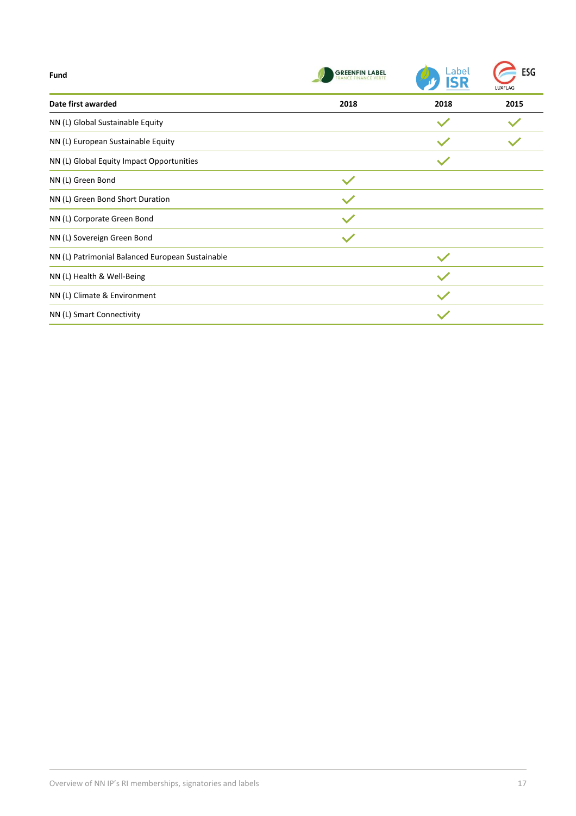| <b>Fund</b>                                      | <b>GREENFIN LABEL</b> | Label | ESG<br>LUXFLAG |
|--------------------------------------------------|-----------------------|-------|----------------|
| Date first awarded                               | 2018                  | 2018  | 2015           |
| NN (L) Global Sustainable Equity                 |                       |       |                |
| NN (L) European Sustainable Equity               |                       |       |                |
| NN (L) Global Equity Impact Opportunities        |                       |       |                |
| NN (L) Green Bond                                | $\checkmark$          |       |                |
| NN (L) Green Bond Short Duration                 |                       |       |                |
| NN (L) Corporate Green Bond                      |                       |       |                |
| NN (L) Sovereign Green Bond                      | $\checkmark$          |       |                |
| NN (L) Patrimonial Balanced European Sustainable |                       |       |                |
| NN (L) Health & Well-Being                       |                       |       |                |
| NN (L) Climate & Environment                     |                       |       |                |
| NN (L) Smart Connectivity                        |                       |       |                |